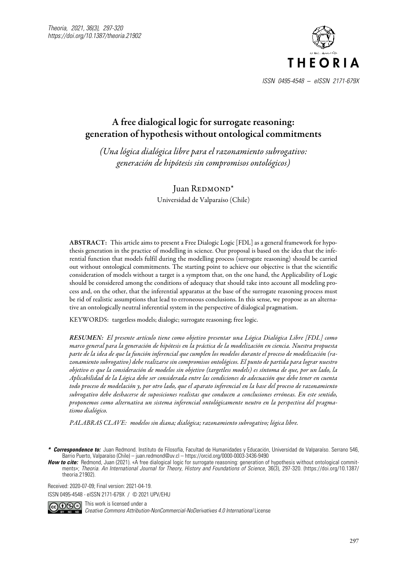

# A free dialogical logic for surrogate reasoning: generation of hypothesis without ontological commitments

*(Una lógica dialógica libre para el razonamiento subrogativo: generación de hipótesis sin compromisos ontológicos)*

> Juan REDMOND<sup>\*</sup> Universidad de Valparaíso (Chile)

ABSTRACT: This article aims to present a Free Dialogic Logic [FDL] as a general framework for hypothesis generation in the practice of modelling in science. Our proposal is based on the idea that the inferential function that models fulfil during the modelling process (surrogate reasoning) should be carried out without ontological commitments. The starting point to achieve our objective is that the scientific consideration of models without a target is a symptom that, on the one hand, the Applicability of Logic should be considered among the conditions of adequacy that should take into account all modeling process and, on the other, that the inferential apparatus at the base of the surrogate reasoning process must be rid of realistic assumptions that lead to erroneous conclusions. In this sense, we propose as an alternative an ontologically neutral inferential system in the perspective of dialogical pragmatism.

KEYWORDS: targetless models; dialogic; surrogate reasoning; free logic.

*RESUMEN: El presente artículo tiene como objetivo presentar una Lógica Dialógica Libre [FDL] como marco general para la generación de hipótesis en la práctica de la modelización en ciencia. Nuestra propuesta parte de la idea de que la función inferencial que cumplen los modelos durante el proceso de modelización (razonamiento subrogativo) debe realizarse sin compromisos ontológicos. El punto de partida para lograr nuestro objetivo es que la consideración de modelos sin objetivo (targetless models) es síntoma de que, por un lado, la Aplicabilidad de la Lógica debe ser considerada entre las condiciones de adecuación que debe tener en cuenta todo proceso de modelación y, por otro lado, que el aparato inferencial en la base del proceso de razonamiento subrogativo debe deshacerse de suposiciones realistas que conducen a conclusiones erróneas. En este sentido, proponemos como alternativa un sistema inferencial ontológicamente neutro en la perspectiva del pragmatismo dialógico.*

*PALABRAS CLAVE: modelos sin diana; dialógica; razonamiento subrogativo; lógica libre.*

Received: 2020-07-09; Final version: 2021-04-19.

ISSN 0495-4548 - eISSN 2171-679X / © 2021 UPV/EHU



 $\bullet$  This work is licensed under a *Creative Commons Attribution-NonCommercial-NoDerivatives 4.0 International* License

*<sup>\*</sup> Correspondence to:* Juan Redmond. Instituto de Filosofía, Facultad de Humanidades y Educación, Universidad de Valparaíso. Serrano 546, Barrio Puerto, Valparaíso (Chile) – juan.redmond@uv.cl – [https://orcid.org/0](https://orcid.org/0000-0001-7423-9223)000-0003-3436-9490

**How to cite:** Redmond, Juan (2021). «A free dialogical logic for surrogate reasoning: generation of hypothesis without ontological commitments»; *Theoria. An International Journal for Theory, History and Foundations of Science,* 36(3), 297-320. (https://doi.org/10.1387/ theoria.21902).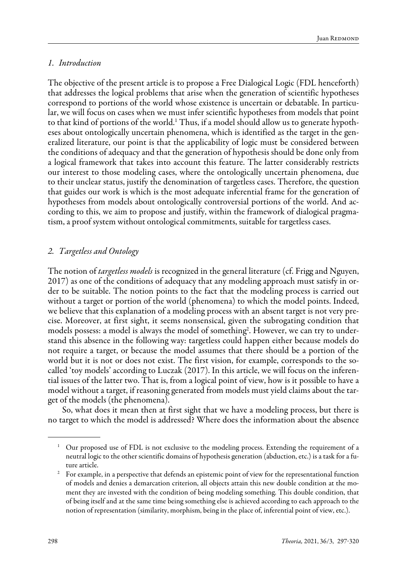#### *1. Introduction*

The objective of the present article is to propose a Free Dialogical Logic (FDL henceforth) that addresses the logical problems that arise when the generation of scientific hypotheses correspond to portions of the world whose existence is uncertain or debatable. In particular, we will focus on cases when we must infer scientific hypotheses from models that point to that kind of portions of the world.<sup>1</sup> Thus, if a model should allow us to generate hypotheses about ontologically uncertain phenomena, which is identified as the target in the generalized literature, our point is that the applicability of logic must be considered between the conditions of adequacy and that the generation of hypothesis should be done only from a logical framework that takes into account this feature. The latter considerably restricts our interest to those modeling cases, where the ontologically uncertain phenomena, due to their unclear status, justify the denomination of targetless cases. Therefore, the question that guides our work is which is the most adequate inferential frame for the generation of hypotheses from models about ontologically controversial portions of the world. And according to this, we aim to propose and justify, within the framework of dialogical pragmatism, a proof system without ontological commitments, suitable for targetless cases.

### *2. Targetless and Ontology*

The notion of *targetless models* is recognized in the general literature (cf. Frigg and Nguyen, 2017) as one of the conditions of adequacy that any modeling approach must satisfy in order to be suitable. The notion points to the fact that the modeling process is carried out without a target or portion of the world (phenomena) to which the model points. Indeed, we believe that this explanation of a modeling process with an absent target is not very precise. Moreover, at first sight, it seems nonsensical, given the subrogating condition that models possess: a model is always the model of something<sup>2</sup>. However, we can try to understand this absence in the following way: targetless could happen either because models do not require a target, or because the model assumes that there should be a portion of the world but it is not or does not exist. The first vision, for example, corresponds to the socalled 'toy models' according to Luczak (2017). In this article, we will focus on the inferential issues of the latter two. That is, from a logical point of view, how is it possible to have a model without a target, if reasoning generated from models must yield claims about the target of the models (the phenomena).

So, what does it mean then at first sight that we have a modeling process, but there is no target to which the model is addressed? Where does the information about the absence

<sup>&</sup>lt;sup>1</sup> Our proposed use of FDL is not exclusive to the modeling process. Extending the requirement of a neutral logic to the other scientific domains of hypothesis generation (abduction, etc.) is a task for a future article.

<sup>2</sup> For example, in a perspective that defends an epistemic point of view for the representational function of models and denies a demarcation criterion, all objects attain this new double condition at the moment they are invested with the condition of being modeling something. This double condition, that of being itself and at the same time being something else is achieved according to each approach to the notion of representation (similarity, morphism, being in the place of, inferential point of view, etc.).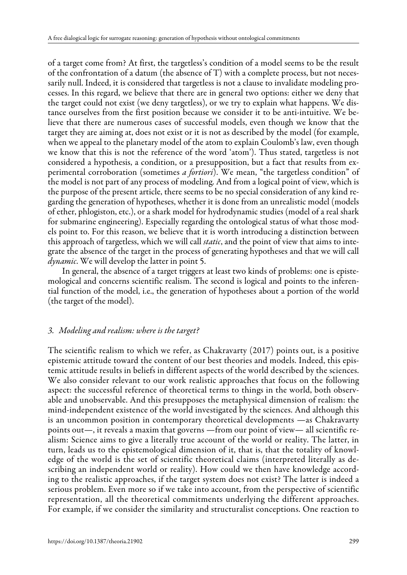of a target come from? At first, the targetless's condition of a model seems to be the result of the confrontation of a datum (the absence of  $T$ ) with a complete process, but not necessarily null. Indeed, it is considered that targetless is not a clause to invalidate modeling processes. In this regard, we believe that there are in general two options: either we deny that the target could not exist (we deny targetless), or we try to explain what happens. We distance ourselves from the first position because we consider it to be anti-intuitive. We believe that there are numerous cases of successful models, even though we know that the target they are aiming at, does not exist or it is not as described by the model (for example, when we appeal to the planetary model of the atom to explain Coulomb's law, even though we know that this is not the reference of the word 'atom'). Thus stated, targetless is not considered a hypothesis, a condition, or a presupposition, but a fact that results from experimental corroboration (sometimes *a fortiori*). We mean, "the targetless condition" of the model is not part of any process of modeling. And from a logical point of view, which is the purpose of the present article, there seems to be no special consideration of any kind regarding the generation of hypotheses, whether it is done from an unrealistic model (models of ether, phlogiston, etc.), or a shark model for hydrodynamic studies (model of a real shark for submarine engineering). Especially regarding the ontological status of what those models point to. For this reason, we believe that it is worth introducing a distinction between this approach of targetless, which we will call *static*, and the point of view that aims to integrate the absence of the target in the process of generating hypotheses and that we will call *dynamic*. We will develop the latter in point 5.

In general, the absence of a target triggers at least two kinds of problems: one is epistemological and concerns scientific realism. The second is logical and points to the inferential function of the model, i.e., the generation of hypotheses about a portion of the world (the target of the model).

# *3. Modeling and realism: where is the target?*

The scientific realism to which we refer, as Chakravarty (2017) points out, is a positive epistemic attitude toward the content of our best theories and models. Indeed, this epistemic attitude results in beliefs in different aspects of the world described by the sciences. We also consider relevant to our work realistic approaches that focus on the following aspect: the successful reference of theoretical terms to things in the world, both observable and unobservable. And this presupposes the metaphysical dimension of realism: the mind-independent existence of the world investigated by the sciences. And although this is an uncommon position in contemporary theoretical developments —as Chakravarty points out—, it reveals a maxim that governs —from our point of view— all scientific realism: Science aims to give a literally true account of the world or reality. The latter, in turn, leads us to the epistemological dimension of it, that is, that the totality of knowledge of the world is the set of scientific theoretical claims (interpreted literally as describing an independent world or reality). How could we then have knowledge according to the realistic approaches, if the target system does not exist? The latter is indeed a serious problem. Even more so if we take into account, from the perspective of scientific representation, all the theoretical commitments underlying the different approaches. For example, if we consider the similarity and structuralist conceptions. One reaction to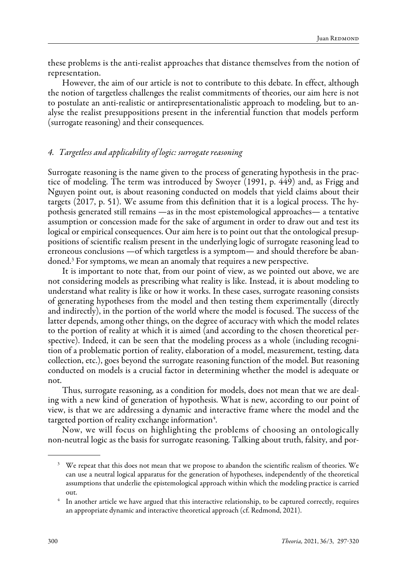these problems is the anti-realist approaches that distance themselves from the notion of representation.

However, the aim of our article is not to contribute to this debate. In effect, although the notion of targetless challenges the realist commitments of theories, our aim here is not to postulate an anti-realistic or antirepresentationalistic approach to modeling, but to analyse the realist presuppositions present in the inferential function that models perform (surrogate reasoning) and their consequences.

### *4. Targetless and applicability of logic: surrogate reasoning*

Surrogate reasoning is the name given to the process of generating hypothesis in the practice of modeling. The term was introduced by Swoyer (1991, p. 449) and, as Frigg and Nguyen point out, is about reasoning conducted on models that yield claims about their targets (2017, p. 51). We assume from this definition that it is a logical process. The hypothesis generated still remains —as in the most epistemological approaches— a tentative assumption or concession made for the sake of argument in order to draw out and test its logical or empirical consequences. Our aim here is to point out that the ontological presuppositions of scientific realism present in the underlying logic of surrogate reasoning lead to erroneous conclusions —of which targetless is a symptom— and should therefore be abandoned.3 For symptoms, we mean an anomaly that requires a new perspective.

It is important to note that, from our point of view, as we pointed out above, we are not considering models as prescribing what reality is like. Instead, it is about modeling to understand what reality is like or how it works. In these cases, surrogate reasoning consists of generating hypotheses from the model and then testing them experimentally (directly and indirectly), in the portion of the world where the model is focused. The success of the latter depends, among other things, on the degree of accuracy with which the model relates to the portion of reality at which it is aimed (and according to the chosen theoretical perspective). Indeed, it can be seen that the modeling process as a whole (including recognition of a problematic portion of reality, elaboration of a model, measurement, testing, data collection, etc.), goes beyond the surrogate reasoning function of the model. But reasoning conducted on models is a crucial factor in determining whether the model is adequate or not.

Thus, surrogate reasoning, as a condition for models, does not mean that we are dealing with a new kind of generation of hypothesis. What is new, according to our point of view, is that we are addressing a dynamic and interactive frame where the model and the targeted portion of reality exchange information $\rm ^4$ .

Now, we will focus on highlighting the problems of choosing an ontologically non-neutral logic as the basis for surrogate reasoning. Talking about truth, falsity, and por-

<sup>&</sup>lt;sup>3</sup> We repeat that this does not mean that we propose to abandon the scientific realism of theories. We can use a neutral logical apparatus for the generation of hypotheses, independently of the theoretical assumptions that underlie the epistemological approach within which the modeling practice is carried out.

<sup>&</sup>lt;sup>4</sup> In another article we have argued that this interactive relationship, to be captured correctly, requires an appropriate dynamic and interactive theoretical approach (cf. Redmond, 2021).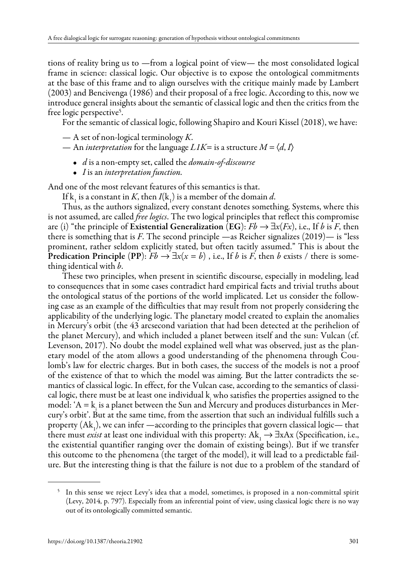tions of reality bring us to —from a logical point of view— the most consolidated logical frame in science: classical logic. Our objective is to expose the ontological commitments at the base of this frame and to align ourselves with the critique mainly made by Lambert (2003) and Bencivenga (1986) and their proposal of a free logic. According to this, now we introduce general insights about the semantic of classical logic and then the critics from the free logic perspective<sup>5</sup>.

For the semantic of classical logic, following Shapiro and Kouri Kissel (2018), we have:

— A set of non-logical terminology *K*.

— An *interpretation* for the language  $LIK =$  is a structure  $M = \langle d, I \rangle$ 

- *d* is a non-empty set, called the *domain-of-discourse*
- *I* is an *interpretation function.*

And one of the most relevant features of this semantics is that.

If  $k_1$  is a constant in *K*, then *I*( $k_1$ ) is a member of the domain *d*.

Thus, as the authors signalized, every constant denotes something. Systems, where this is not assumed, are called *free logics*. The two logical principles that reflect this compromise are (i) "the principle of Existential Generalization (EG):  $Fb \rightarrow \exists x (Fx)$ , i.e., If *b* is *F*, then there is something that is *F*. The second principle —as Reicher signalizes (2019)— is "less prominent, rather seldom explicitly stated, but often tacitly assumed." This is about the **Predication Principle (PP):**  $Fb \rightarrow \exists x (x = b)$ , i.e., If *b* is *F*, then *b* exists / there is something identical with *b*.

These two principles, when present in scientific discourse, especially in modeling, lead to consequences that in some cases contradict hard empirical facts and trivial truths about the ontological status of the portions of the world implicated. Let us consider the following case as an example of the difficulties that may result from not properly considering the applicability of the underlying logic. The planetary model created to explain the anomalies in Mercury's orbit (the 43 arcsecond variation that had been detected at the perihelion of the planet Mercury), and which included a planet between itself and the sun: Vulcan (cf. Levenson, 2017). No doubt the model explained well what was observed, just as the planetary model of the atom allows a good understanding of the phenomena through Coulomb's law for electric charges. But in both cases, the success of the models is not a proof of the existence of that to which the model was aiming. But the latter contradicts the semantics of classical logic. In effect, for the Vulcan case, according to the semantics of classical logic, there must be at least one individual  $k$  who satisfies the properties assigned to the model: 'A =  $k_i$  is a planet between the Sun and Mercury and produces disturbances in Mercury's orbit'. But at the same time, from the assertion that such an individual fulfills such a property  $(Ak_1)$ , we can infer —according to the principles that govern classical logic— that there must *exist* at least one individual with this property:  $Ak$ ,  $\rightarrow \exists xAx$  (Specification, i.e., the existential quantifier ranging over the domain of existing beings). But if we transfer this outcome to the phenomena (the target of the model), it will lead to a predictable failure. But the interesting thing is that the failure is not due to a problem of the standard of

<sup>&</sup>lt;sup>5</sup> In this sense we reject Levy's idea that a model, sometimes, is proposed in a non-committal spirit (Levy, 2014, p. 797). Especially from an inferential point of view, using classical logic there is no way out of its ontologically committed semantic.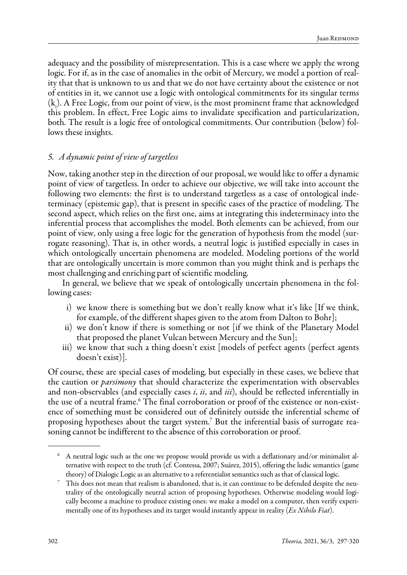adequacy and the possibility of misrepresentation. This is a case where we apply the wrong logic. For if, as in the case of anomalies in the orbit of Mercury, we model a portion of reality that that is unknown to us and that we do not have certainty about the existence or not of entities in it, we cannot use a logic with ontological commitments for its singular terms (ki ). A Free Logic, from our point of view, is the most prominent frame that acknowledged this problem. In effect, Free Logic aims to invalidate specification and particularization, both. The result is a logic free of ontological commitments. Our contribution (below) follows these insights.

### *5. A dynamic point of view of targetless*

Now, taking another step in the direction of our proposal, we would like to offer a dynamic point of view of targetless. In order to achieve our objective, we will take into account the following two elements: the first is to understand targetless as a case of ontological indeterminacy (epistemic gap), that is present in specific cases of the practice of modeling. The second aspect, which relies on the first one, aims at integrating this indeterminacy into the inferential process that accomplishes the model. Both elements can be achieved, from our point of view, only using a free logic for the generation of hypothesis from the model (surrogate reasoning). That is, in other words, a neutral logic is justified especially in cases in which ontologically uncertain phenomena are modeled. Modeling portions of the world that are ontologically uncertain is more common than you might think and is perhaps the most challenging and enriching part of scientific modeling.

In general, we believe that we speak of ontologically uncertain phenomena in the following cases:

- i) we know there is something but we don't really know what it's like [If we think, for example, of the different shapes given to the atom from Dalton to Bohr];
- ii) we don't know if there is something or not [if we think of the Planetary Model that proposed the planet Vulcan between Mercury and the Sun];
- iii) we know that such a thing doesn't exist [models of perfect agents (perfect agents doesn't exist)].

Of course, these are special cases of modeling, but especially in these cases, we believe that the caution or *parsimony* that should characterize the experimentation with observables and non-observables (and especially cases *i*, *ii*, and *iii*), should be reflected inferentially in the use of a neutral frame.<sup>6</sup> The final corroboration or proof of the existence or non-existence of something must be considered out of definitely outside the inferential scheme of proposing hypotheses about the target system. $^7$  But the inferential basis of surrogate reasoning cannot be indifferent to the absence of this corroboration or proof.

<sup>6</sup> A neutral logic such as the one we propose would provide us with a deflationary and/or minimalist alternative with respect to the truth (cf. Contessa, 2007; Suárez, 2015), offering the ludic semantics (game

theory) of Dialogic Logic as an alternative to a referentialist semantics such as that of classical logic. 7 This does not mean that realism is abandoned, that is, it can continue to be defended despite the neutrality of the ontologically neutral action of proposing hypotheses. Otherwise modeling would logically become a machine to produce existing ones: we make a model on a computer, then verify experimentally one of its hypotheses and its target would instantly appear in reality (*Ex Nihilo Fiat*).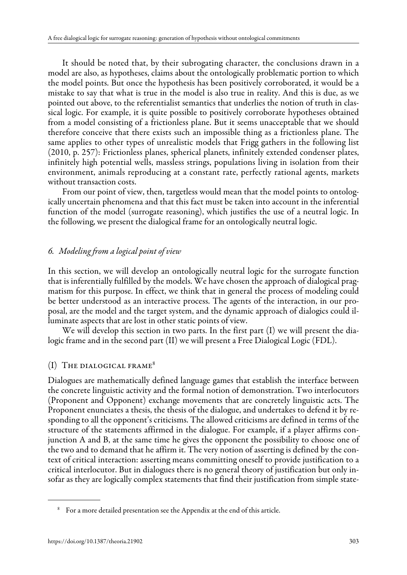It should be noted that, by their subrogating character, the conclusions drawn in a model are also, as hypotheses, claims about the ontologically problematic portion to which the model points. But once the hypothesis has been positively corroborated, it would be a mistake to say that what is true in the model is also true in reality. And this is due, as we pointed out above, to the referentialist semantics that underlies the notion of truth in classical logic. For example, it is quite possible to positively corroborate hypotheses obtained from a model consisting of a frictionless plane. But it seems unacceptable that we should therefore conceive that there exists such an impossible thing as a frictionless plane. The same applies to other types of unrealistic models that Frigg gathers in the following list (2010, p. 257): Frictionless planes, spherical planets, infinitely extended condenser plates, infinitely high potential wells, massless strings, populations living in isolation from their environment, animals reproducing at a constant rate, perfectly rational agents, markets without transaction costs.

From our point of view, then, targetless would mean that the model points to ontologically uncertain phenomena and that this fact must be taken into account in the inferential function of the model (surrogate reasoning), which justifies the use of a neutral logic. In the following, we present the dialogical frame for an ontologically neutral logic.

# *6. Modeling from a logical point of view*

In this section, we will develop an ontologically neutral logic for the surrogate function that is inferentially fulfilled by the models. We have chosen the approach of dialogical pragmatism for this purpose. In effect, we think that in general the process of modeling could be better understood as an interactive process. The agents of the interaction, in our proposal, are the model and the target system, and the dynamic approach of dialogics could illuminate aspects that are lost in other static points of view.

We will develop this section in two parts. In the first part (I) we will present the dialogic frame and in the second part (II) we will present a Free Dialogical Logic (FDL).

### (I) The dialogical frame8

Dialogues are mathematically defined language games that establish the interface between the concrete linguistic activity and the formal notion of demonstration. Two interlocutors (Proponent and Opponent) exchange movements that are concretely linguistic acts. The Proponent enunciates a thesis, the thesis of the dialogue, and undertakes to defend it by responding to all the opponent's criticisms. The allowed criticisms are defined in terms of the structure of the statements affirmed in the dialogue. For example, if a player affirms conjunction A and B, at the same time he gives the opponent the possibility to choose one of the two and to demand that he affirm it. The very notion of asserting is defined by the context of critical interaction: asserting means committing oneself to provide justification to a critical interlocutor. But in dialogues there is no general theory of justification but only insofar as they are logically complex statements that find their justification from simple state-

<sup>8</sup> For a more detailed presentation see the Appendix at the end of this article.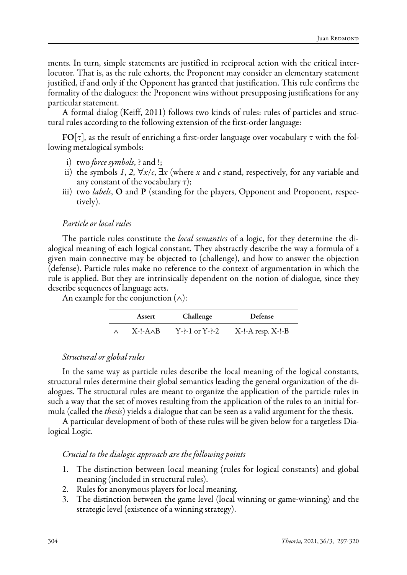ments. In turn, simple statements are justified in reciprocal action with the critical interlocutor. That is, as the rule exhorts, the Proponent may consider an elementary statement justified, if and only if the Opponent has granted that justification. This rule confirms the formality of the dialogues: the Proponent wins without presupposing justifications for any particular statement.

A formal dialog (Keiff, 2011) follows two kinds of rules: rules of particles and structural rules according to the following extension of the first-order language:

 $FO[\tau]$ , as the result of enriching a first-order language over vocabulary  $\tau$  with the following metalogical symbols:

- i) two *force symbols*, ? and !;
- ii) the symbols *1*, 2,  $\forall x/c$ ,  $\exists x$  (where *x* and *c* stand, respectively, for any variable and any constant of the vocabulary  $\tau$ );
- iii) two *labels*, O and P (standing for the players, Opponent and Proponent, respectively).

#### *Particle or local rules*

The particle rules constitute the *local semantics* of a logic, for they determine the dialogical meaning of each logical constant. They abstractly describe the way a formula of a given main connective may be objected to (challenge), and how to answer the objection (defense). Particle rules make no reference to the context of argumentation in which the rule is applied. But they are intrinsically dependent on the notion of dialogue, since they describe sequences of language acts.

An example for the conjunction  $(\wedge)$ :

| Assert          | Challenge          | Defense                 |
|-----------------|--------------------|-------------------------|
| $X-I-A\wedge B$ | $Y-2-1$ or $Y-2-2$ | $X$ -!-A resp. $X$ -!-B |

#### *Structural or global rules*

In the same way as particle rules describe the local meaning of the logical constants, structural rules determine their global semantics leading the general organization of the dialogues. The structural rules are meant to organize the application of the particle rules in such a way that the set of moves resulting from the application of the rules to an initial formula (called the *thesis*) yields a dialogue that can be seen as a valid argument for the thesis.

A particular development of both of these rules will be given below for a targetless Dialogical Logic.

#### *Crucial to the dialogic approach are the following points*

- 1. The distinction between local meaning (rules for logical constants) and global meaning (included in structural rules).
- 2. Rules for anonymous players for local meaning.
- 3. The distinction between the game level (local winning or game-winning) and the strategic level (existence of a winning strategy).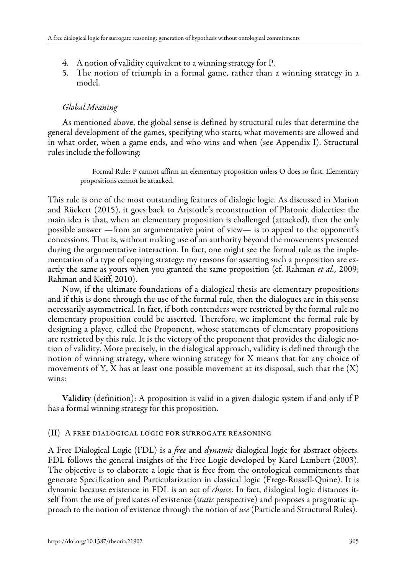- 4. A notion of validity equivalent to a winning strategy for P.
- 5. The notion of triumph in a formal game, rather than a winning strategy in a model.

### *Global Meaning*

As mentioned above, the global sense is defined by structural rules that determine the general development of the games, specifying who starts, what movements are allowed and in what order, when a game ends, and who wins and when (see Appendix I). Structural rules include the following:

> Formal Rule: P cannot affirm an elementary proposition unless O does so first. Elementary propositions cannot be attacked.

This rule is one of the most outstanding features of dialogic logic. As discussed in Marion and Rückert (2015), it goes back to Aristotle's reconstruction of Platonic dialectics: the main idea is that, when an elementary proposition is challenged (attacked), then the only possible answer —from an argumentative point of view— is to appeal to the opponent's concessions. That is, without making use of an authority beyond the movements presented during the argumentative interaction. In fact, one might see the formal rule as the implementation of a type of copying strategy: my reasons for asserting such a proposition are exactly the same as yours when you granted the same proposition (cf. Rahman *et al.,* 2009; Rahman and Keiff, 2010).

Now, if the ultimate foundations of a dialogical thesis are elementary propositions and if this is done through the use of the formal rule, then the dialogues are in this sense necessarily asymmetrical. In fact, if both contenders were restricted by the formal rule no elementary proposition could be asserted. Therefore, we implement the formal rule by designing a player, called the Proponent, whose statements of elementary propositions are restricted by this rule. It is the victory of the proponent that provides the dialogic notion of validity. More precisely, in the dialogical approach, validity is defined through the notion of winning strategy, where winning strategy for X means that for any choice of movements of Y, X has at least one possible movement at its disposal, such that the  $(X)$ wins:

Validity (definition): A proposition is valid in a given dialogic system if and only if P has a formal winning strategy for this proposition.

### (II) A free dialogical logic for surrogate reasoning

A Free Dialogical Logic (FDL) is a *free* and *dynamic* dialogical logic for abstract objects. FDL follows the general insights of the Free Logic developed by Karel Lambert (2003). The objective is to elaborate a logic that is free from the ontological commitments that generate Specification and Particularization in classical logic (Frege-Russell-Quine). It is dynamic because existence in FDL is an act of *choice*. In fact, dialogical logic distances itself from the use of predicates of existence (*static* perspective) and proposes a pragmatic approach to the notion of existence through the notion of *use* (Particle and Structural Rules).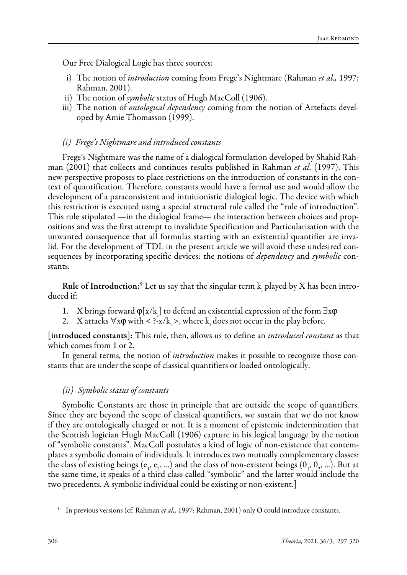Our Free Dialogical Logic has three sources:

- i) The notion of *introduction* coming from Frege's Nightmare (Rahman *et al.,* 1997; Rahman, 2001).
- ii) The notion of *symbolic* status of Hugh MacColl (1906).
- iii) The notion of *ontological dependency* coming from the notion of Artefacts developed by Amie Thomasson (1999).

#### *(i) Frege's Nightmare and introduced constants*

Frege's Nightmare was the name of a dialogical formulation developed by Shahid Rahman (2001) that collects and continues results published in Rahman *et al.* (1997). This new perspective proposes to place restrictions on the introduction of constants in the context of quantification. Therefore, constants would have a formal use and would allow the development of a paraconsistent and intuitionistic dialogical logic. The device with which this restriction is executed using a special structural rule called the "rule of introduction". This rule stipulated —in the dialogical frame— the interaction between choices and propositions and was the first attempt to invalidate Specification and Particularisation with the unwanted consequence that all formulas starting with an existential quantifier are invalid. For the development of TDL in the present article we will avoid these undesired consequences by incorporating specific devices: the notions of *dependency* and *symbolic* constants.

**Rule of Introduction:**<sup>9</sup> Let us say that the singular term  $k_i$  played by X has been introduced if:

- 1. X brings forward  $\varphi[x/k]$  to defend an existential expression of the form  $\exists x \varphi$
- 2. X attacks  $\forall x \phi$  with < ?-x/k<sub>i</sub> >, where k<sub>i</sub> does not occur in the play before.

[introduced constants]: This rule, then, allows us to define an *introduced constant* as that which comes from 1 or 2.

In general terms, the notion of *introduction* makes it possible to recognize those constants that are under the scope of classical quantifiers or loaded ontologically.

#### *(ii) Symbolic status of constants*

Symbolic Constants are those in principle that are outside the scope of quantifiers. Since they are beyond the scope of classical quantifiers, we sustain that we do not know if they are ontologically charged or not. It is a moment of epistemic indetermination that the Scottish logician Hugh MacColl (1906) capture in his logical language by the notion of "symbolic constants". MacColl postulates a kind of logic of non-existence that contemplates a symbolic domain of individuals. It introduces two mutually complementary classes: the class of existing beings ( $e_1, e_2, ...$ ) and the class of non-existent beings ( $0_1, 0_2, ...$ ). But at the same time, it speaks of a third class called "symbolic" and the latter would include the two precedents. A symbolic individual could be existing or non-existent.]

<sup>9</sup> In previous versions (cf. Rahman *et al,,* 1997; Rahman, 2001) only O could introduce constants.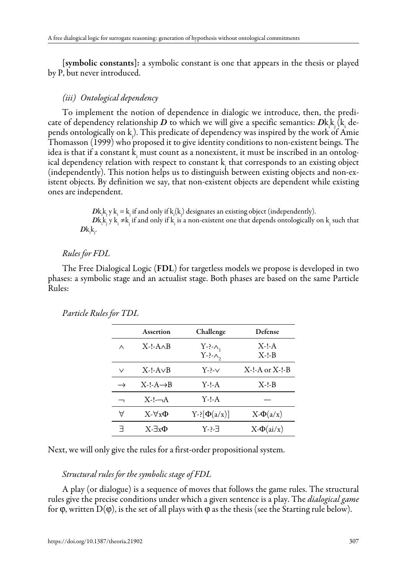[symbolic constants]: a symbolic constant is one that appears in the thesis or played by P, but never introduced.

#### *(iii) Ontological dependency*

To implement the notion of dependence in dialogic we introduce, then, the predicate of dependency relationship  $D$  to which we will give a specific semantics:  $Dk$ <sub>k</sub>  $(k$ <sub>i</sub> depends ontologically on kj ). This predicate of dependency was inspired by the work of Amie Thomasson (1999) who proposed it to give identity conditions to non-existent beings. The idea is that if a constant  $k_i$  must count as a nonexistent, it must be inscribed in an ontological dependency relation with respect to constant kj that corresponds to an existing object (independently). This notion helps us to distinguish between existing objects and non-existent objects. By definition we say, that non-existent objects are dependent while existing ones are independent.

> $D$ k<sub>i</sub>k<sub>j</sub> y k<sub>i</sub> = k<sub>j</sub> if and only if k<sub>i</sub>(k<sub>j</sub>) designates an existing object (independently).  $D{\rm k}_{{\rm i}}^{\rm k}$  y  ${\rm k}_{{\rm i}}$  ≠k<sub>j</sub> if and only if  ${\rm k}_{{\rm i}}$  is a non-existent one that depends ontologically on  ${\rm k}_{{\rm j}}$  such that  $D\mathrm{k}_{\mathrm{i}}\mathrm{k}_{\mathrm{j}}$ .

#### *Rules for FDL*

The Free Dialogical Logic (FDL) for targetless models we propose is developed in two phases: a symbolic stage and an actualist stage. Both phases are based on the same Particle Rules:

|               | Assertion             | Challenge                                          | Defense            |
|---------------|-----------------------|----------------------------------------------------|--------------------|
| $\wedge$      | $X-I-A\wedge B$       | $Y \rightarrow \wedge_1$<br>$Y \rightarrow \wedge$ | $X-I-A$<br>$X-I-B$ |
| $\vee$        | $X-I-A\vee B$         | $Y - \sim$                                         | $X-I-A$ or $X-I-B$ |
| $\rightarrow$ | $X-I-A \rightarrow B$ | $Y-I-A$                                            | $X-I-B$            |
|               | $X-L-A$               | $Y-I-A$                                            |                    |
| Α             | $X - \forall x \Phi$  | $Y = [\Phi(a/x)]$                                  | $X-\Phi(a/x)$      |
| ᆨ             | $X - \exists x \Phi$  | Y-?-∃                                              | $X-\Phi(ai/x)$     |

#### *Particle Rules for TDL*

Next, we will only give the rules for a first-order propositional system.

#### *Structural rules for the symbolic stage of FDL*

A play (or dialogue) is a sequence of moves that follows the game rules. The structural rules give the precise conditions under which a given sentence is a play. The *dialogical game* for φ, written D(φ), is the set of all plays with φ as the thesis (see the Starting rule below).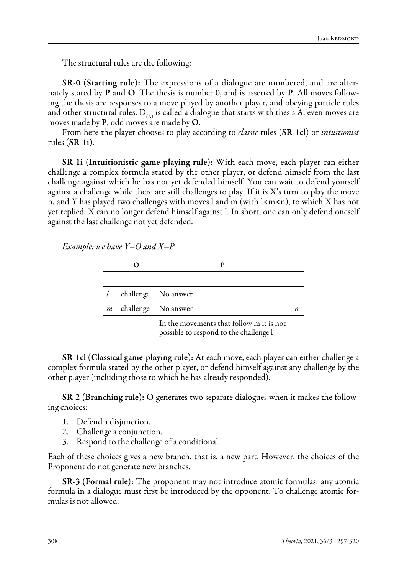The structural rules are the following:

SR-0 (Starting rule): The expressions of a dialogue are numbered, and are alternately stated by P and O. The thesis is number 0, and is asserted by P. All moves following the thesis are responses to a move played by another player, and obeying particle rules and other structural rules.  $D_{(A)}$  is called a dialogue that starts with thesis A, even moves are moves made by P, odd moves are made by O.

From here the player chooses to play according to *classic* rules (SR-1cl) or *intuitionist* rules (SR-1i).

SR-1i (Intuitionistic game-playing rule): With each move, each player can either challenge a complex formula stated by the other player, or defend himself from the last challenge against which he has not yet defended himself. You can wait to defend yourself against a challenge while there are still challenges to play. If it is  $X$ 's turn to play the move n, and Y has played two challenges with moves l and m (with  $\lceil \langle m \rangle$ , to which X has not yet replied, X can no longer defend himself against l. In short, one can only defend oneself against the last challenge not yet defended.

*Example: we have Y=O and X=P*

|   | challenge No answer                                                                |  |
|---|------------------------------------------------------------------------------------|--|
| m | challenge No answer                                                                |  |
|   | In the movements that follow m it is not<br>possible to respond to the challenge l |  |

SR-1cl (Classical game-playing rule): At each move, each player can either challenge a complex formula stated by the other player, or defend himself against any challenge by the other player (including those to which he has already responded).

SR-2 (Branching rule): O generates two separate dialogues when it makes the following choices:

- 1. Defend a disjunction.
- 2. Challenge a conjunction.
- Respond to the challenge of a conditional.

Each of these choices gives a new branch, that is, a new part. However, the choices of the Proponent do not generate new branches.

SR-3 (Formal rule): The proponent may not introduce atomic formulas: any atomic formula in a dialogue must first be introduced by the opponent. To challenge atomic formulas is not allowed.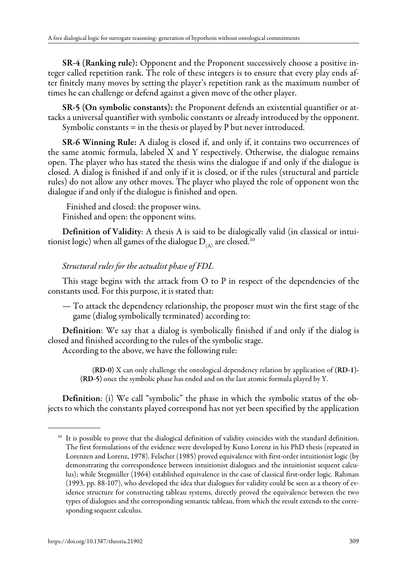SR-4 (Ranking rule): Opponent and the Proponent successively choose a positive integer called repetition rank. The role of these integers is to ensure that every play ends after finitely many moves by setting the player's repetition rank as the maximum number of times he can challenge or defend against a given move of the other player.

SR-5 (On symbolic constants): the Proponent defends an existential quantifier or attacks a universal quantifier with symbolic constants or already introduced by the opponent. Symbolic constants = in the thesis or played by P but never introduced.

SR-6 Winning Rule: A dialog is closed if, and only if, it contains two occurrences of the same atomic formula, labeled X and Y respectively. Otherwise, the dialogue remains open. The player who has stated the thesis wins the dialogue if and only if the dialogue is closed. A dialog is finished if and only if it is closed, or if the rules (structural and particle rules) do not allow any other moves. The player who played the role of opponent won the dialogue if and only if the dialogue is finished and open.

Finished and closed: the proposer wins. Finished and open: the opponent wins.

Definition of Validity: A thesis A is said to be dialogically valid (in classical or intuitionist logic) when all games of the dialogue  $D_{\alpha\alpha}$  are closed.<sup>10</sup>

# *Structural rules for the actualist phase of FDL*

This stage begins with the attack from O to P in respect of the dependencies of the constants used. For this purpose, it is stated that:

— To attack the dependency relationship, the proposer must win the first stage of the game (dialog symbolically terminated) according to:

Definition: We say that a dialog is symbolically finished if and only if the dialog is closed and finished according to the rules of the symbolic stage.

According to the above, we have the following rule:

(RD-0) X can only challenge the ontological dependency relation by application of (RD-1)- (RD-5) once the symbolic phase has ended and on the last atomic formula played by Y.

Definition: (i) We call "symbolic" the phase in which the symbolic status of the objects to which the constants played correspond has not yet been specified by the application

<sup>&</sup>lt;sup>10</sup> It is possible to prove that the dialogical definition of validity coincides with the standard definition. The first formulations of the evidence were developed by Kuno Lorenz in his PhD thesis (repeated in Lorenzen and Lorenz, 1978). Felscher (1985) proved equivalence with first-order intuitionist logic (by demonstrating the correspondence between intuitionist dialogues and the intuitionist sequent calculus); while Stegmüller (1964) established equivalence in the case of classical first-order logic. Rahman (1993, pp. 88-107), who developed the idea that dialogues for validity could be seen as a theory of evidence structure for constructing tableau systems, directly proved the equivalence between the two types of dialogues and the corresponding semantic tableau, from which the result extends to the corresponding sequent calculus.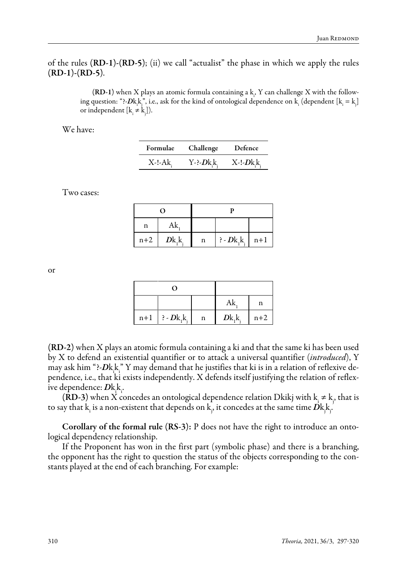of the rules (RD-1)-(RD-5); (ii) we call "actualist" the phase in which we apply the rules  $(RD-1)-(RD-5)$ .

> (RD-1) when X plays an atomic formula containing a k. Y can challenge X with the following question: "?- $Dk_1k_1^{\prime\prime}$ , i.e., ask for the kind of ontological dependence on  $k_i$  (dependent  $[k_i=k_j]$ or independent  $[k_i \neq k_j]).$

We have:

| Formulae     | Challenge | Defence                   |
|--------------|-----------|---------------------------|
| $X$ -!- $Ak$ | Y-?-Dk.k  | $X$ -!- $Dk$ <sub>k</sub> |

Two cases:

|       | റ         |   |                              |  |
|-------|-----------|---|------------------------------|--|
| n     | Ak.       |   |                              |  |
| $n+2$ | $D_{k,k}$ | n | $\frac{1}{2}$ - Dk, k,   n+1 |  |

or

| O                     |   |               |       |
|-----------------------|---|---------------|-------|
|                       |   | Ak            | n     |
| $n+1$   ? - $Dk_1k_1$ | n | $Dk_{1}k_{1}$ | $n+2$ |

(RD-2) when X plays an atomic formula containing a ki and that the same ki has been used by X to defend an existential quantifier or to attack a universal quantifier (*introduced*), Y may ask him "?- $D$ k $\frac{k}{n}$ " Y may demand that he justifies that ki is in a relation of reflexive dependence, i.e., that ki exists independently. X defends itself justifying the relation of reflexive dependence: *D*k<sub>i</sub>k.

(RD-3) when X concedes an ontological dependence relation Dkikj with  $k_i \neq k_j$ , that is to say that  $\mathrm{k}_{\mathrm{i}}$  is a non-existent that depends on  $\mathrm{k}_{\mathrm{j}},$  it concedes at the same time  $D\mathrm{k}_{\mathrm{j}},$ 

Corollary of the formal rule (RS-3): P does not have the right to introduce an ontological dependency relationship.

If the Proponent has won in the first part (symbolic phase) and there is a branching, the opponent has the right to question the status of the objects corresponding to the constants played at the end of each branching. For example: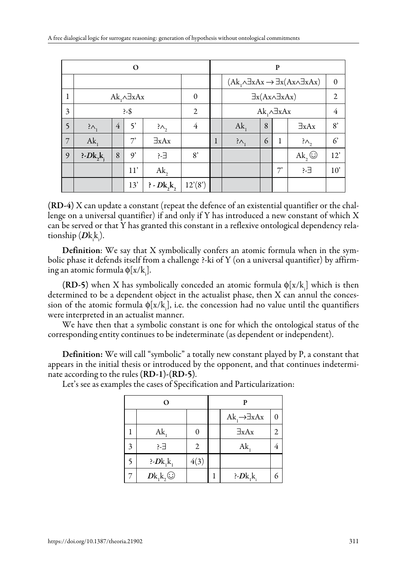| O              |                            |                |              |                |                                   |   | P                                                                    |   |    |                |             |
|----------------|----------------------------|----------------|--------------|----------------|-----------------------------------|---|----------------------------------------------------------------------|---|----|----------------|-------------|
|                |                            |                |              |                |                                   |   | $(Ak, \land \exists xAx \rightarrow \exists x(Ax \land \exists xAx)$ |   |    | $\Omega$       |             |
|                | $Ak_1 \wedge \exists x Ax$ |                | $\Omega$     |                | $\exists x(Ax \land \exists xAx)$ |   |                                                                      |   | 2  |                |             |
| 3              |                            |                | $-5$         |                | $\overline{2}$                    |   | $Ak_1 \wedge \exists x Ax$                                           |   |    | 4              |             |
| 5              | $?_{\Lambda_1}$            | $\overline{4}$ | $\varsigma$  | $\lambda_{2}$  | 4                                 |   | $Ak_{1}$                                                             | 8 |    | $\exists x Ax$ | 8'          |
| $\overline{7}$ | $Ak_{1}$                   |                | 7'           | $\exists xAx$  |                                   | 1 | $\lambda$                                                            | 6 | 1  | $?_{\wedge}$   | $6^{\circ}$ |
| 9              | $P\text{-}Dk_1k_1$         | 8              | $\mathsf{Q}$ | ?-∃            | 8'                                |   |                                                                      |   |    | Ak,            | 12'         |
|                |                            |                | 11'          | Ak,            |                                   |   |                                                                      |   | 7' | ?-∃            | 10'         |
|                |                            |                | 13'          | $P$ - $Dk, k,$ | 12'(8')                           |   |                                                                      |   |    |                |             |

(RD-4) X can update a constant (repeat the defence of an existential quantifier or the challenge on a universal quantifier) if and only if Y has introduced a new constant of which X can be served or that Y has granted this constant in a reflexive ontological dependency relationship (*D*k<sub>i</sub>k<sub>i</sub>).

Definition: We say that X symbolically confers an atomic formula when in the symbolic phase it defends itself from a challenge ?-ki of Y (on a universal quantifier) by affirming an atomic formula  $\phi[x/k_{\overline{i}}].$ 

(RD-5) when X has symbolically conceded an atomic formula  $\phi[x/k]$  which is then determined to be a dependent object in the actualist phase, then X can annul the concession of the atomic formula  $\phi[x/k_{\rm i}]$ , i.e. the concession had no value until the quantifiers were interpreted in an actualist manner.

We have then that a symbolic constant is one for which the ontological status of the corresponding entity continues to be indeterminate (as dependent or independent).

Definition: We will call "symbolic" a totally new constant played by P, a constant that appears in the initial thesis or introduced by the opponent, and that continues indeterminate according to the rules (RD-1)-(RD-5).

|   | O              | р    |  |                                 |   |
|---|----------------|------|--|---------------------------------|---|
|   |                |      |  | $Ak_1 \rightarrow \exists x Ax$ | 0 |
|   | $Ak_1$         | 0    |  | $\exists x Ax$                  | 2 |
| 3 | ?-∃            | 2    |  | $Ak_{1}$                        |   |
| 5 | $P>Bk_1k_1$    | 4(3) |  |                                 |   |
|   | $Dk_1k_2\odot$ |      |  | $P\cdot Dk_1k_1$                | 6 |

Let's see as examples the cases of Specification and Particularization: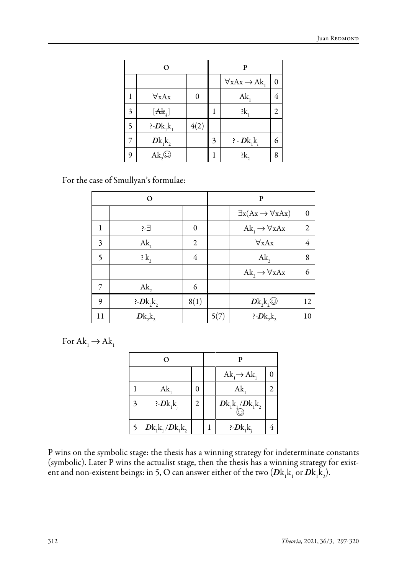| О |               |      |   | р                              |   |
|---|---------------|------|---|--------------------------------|---|
|   |               |      |   | $\forall x Ax \rightarrow Ak,$ | 0 |
|   | $\forall xAx$ | 0    |   | Ak,                            | 4 |
| 3 | $[At+]$       |      |   | $: k_{1}$                      | 2 |
| 5 | $P>Bk_1k_1$   | 4(2) |   |                                |   |
|   | $Dk_1k_2$     |      | 3 | $P - Dk_1k_1$                  | 6 |
| 9 | $Ak_2$        |      |   | : k,                           | 8 |

For the case of Smullyan's formulae:

| റ                        |                  |                | P    |                                           |                |  |
|--------------------------|------------------|----------------|------|-------------------------------------------|----------------|--|
|                          |                  |                |      | $\exists x (Ax \rightarrow \forall x Ax)$ | 0              |  |
| 1                        | ?-∃              | $\theta$       |      | $Ak_1 \rightarrow \forall x Ax$           | $\overline{2}$ |  |
| 3                        | $Ak_1$           | $\overline{c}$ |      | $\forall x Ax$                            | 4              |  |
| $\overline{\phantom{0}}$ | $\mathbf{k},$    | 4              |      | $Ak_{2}$                                  | 8              |  |
|                          |                  |                |      | $Ak_{2} \rightarrow \forall x Ax$         | 6              |  |
| 7                        | $Ak_{2}$         | 6              |      |                                           |                |  |
| 9                        | $P\cdot Dk_2k_2$ | 8(1)           |      | $Dk_2k_2\odot$                            | 12             |  |
| 11                       | $D_{k_2 k_2}$    |                | 5(7) | $P\cdot Dk_2k_2$                          | 10             |  |

For  $Ak_1 \rightarrow Ak_1$ 

| O |                   |   |  |                                                       |  |  |
|---|-------------------|---|--|-------------------------------------------------------|--|--|
|   |                   |   |  | $Ak_1 \rightarrow Ak_1$                               |  |  |
|   | $Ak_{1}$          | 0 |  | Ak,                                                   |  |  |
| 3 | $P>Bk_1k_1$       | 2 |  | $D\mathbf{k_1}\mathbf{k_1}/D\mathbf{k_1}\mathbf{k_2}$ |  |  |
|   | $Dk_1k_1/Dk_1k_2$ |   |  | $P\text{-}Dk_1k_1$                                    |  |  |

P wins on the symbolic stage: the thesis has a winning strategy for indeterminate constants (symbolic). Later P wins the actualist stage, then the thesis has a winning strategy for existent and non-existent beings: in 5, O can answer either of the two  $(D{\rm k}_{{\rm i}}{\rm k}_{{\rm 1}}$  or  $D{\rm k}_{{\rm i}}{\rm k}_{{\rm 2}})$ .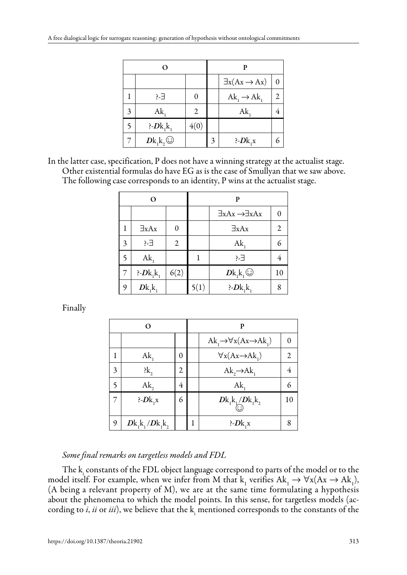|   |                    |      | P |                                 |   |
|---|--------------------|------|---|---------------------------------|---|
|   |                    |      |   | $\exists x (Ax \rightarrow Ax)$ | 0 |
|   | ?-∃                | 0    |   | $Ak_1 \rightarrow Ak_1$         | 2 |
| 3 | $Ak_1$             | 2    |   | $Ak_{1}$                        |   |
| 5 | $P\text{-}Dk_1k_1$ | 4(0) |   |                                 |   |
|   | $Dk_1k_2\odot$     |      | 3 | $P>Bk_1x$                       |   |

In the latter case, specification, P does not have a winning strategy at the actualist stage. Other existential formulas do have EG as is the case of Smullyan that we saw above. The following case corresponds to an identity, P wins at the actualist stage.

| O              |                  |      | P    |                                       |    |  |
|----------------|------------------|------|------|---------------------------------------|----|--|
|                |                  |      |      | $\exists xAx \rightarrow \exists xAx$ |    |  |
|                | $\exists x Ax$   | 0    |      | $\exists x Ax$                        | 2  |  |
| 3              | Ε-?              | 2    |      | $Ak_{1}$                              | 6  |  |
| 5              | $Ak_1$           |      |      | ?-∃                                   |    |  |
| $\overline{7}$ | $P\cdot Dk_1k_1$ | 6(2) |      | $Dk_1k_1\odot$                        | 10 |  |
| 9              | $Dk_1k_1$        |      | 5(1) | $P>Bk_1k_1$                           | 8  |  |

Finally

| О |                   |   | P |                                                    |    |  |
|---|-------------------|---|---|----------------------------------------------------|----|--|
|   |                   |   |   | $Ak_1 \rightarrow \forall x (Ax \rightarrow Ak_1)$ | 0  |  |
| 1 | $Ak_{1}$          | 0 |   | $\forall x (Ax \rightarrow Ak_1)$                  | 2  |  |
| 3 | $: k_{2}$         | 2 |   | $Ak_{2} \rightarrow Ak_{1}$                        | 4  |  |
| 5 | Ak,               | 4 |   | $Ak_{1}$                                           | 6  |  |
| 7 | $P\cdot Dk_1x$    | 6 |   | $Dk_1k_1/Dk_1k_2$                                  | 10 |  |
| 9 | $Dk_1k_1/Dk_1k_2$ |   |   | $P\cdot Dk_1x$                                     |    |  |

# *Some final remarks on targetless models and FDL*

The k constants of the FDL object language correspond to parts of the model or to the model itself. For example, when we infer from M that  $k_1$  verifies  $Ak_1 \rightarrow \forall x (Ax \rightarrow Ak_1)$ , (A being a relevant property of M), we are at the same time formulating a hypothesis about the phenomena to which the model points. In this sense, for targetless models (according to *i, ii* or *iii*), we believe that the  $k_{\text{\tiny{i}}}$  mentioned corresponds to the constants of the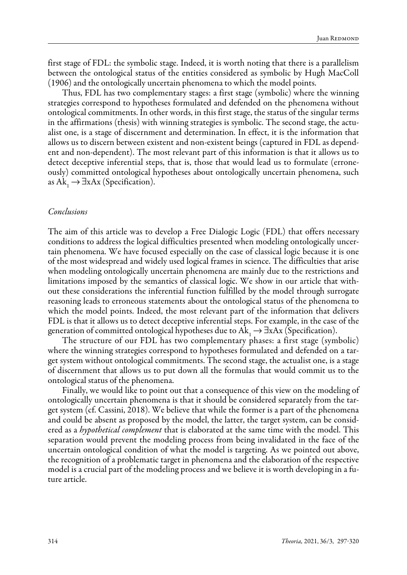first stage of FDL: the symbolic stage. Indeed, it is worth noting that there is a parallelism between the ontological status of the entities considered as symbolic by Hugh MacColl (1906) and the ontologically uncertain phenomena to which the model points.

Thus, FDL has two complementary stages: a first stage (symbolic) where the winning strategies correspond to hypotheses formulated and defended on the phenomena without ontological commitments. In other words, in this first stage, the status of the singular terms in the affirmations (thesis) with winning strategies is symbolic. The second stage, the actualist one, is a stage of discernment and determination. In effect, it is the information that allows us to discern between existent and non-existent beings (captured in FDL as dependent and non-dependent). The most relevant part of this information is that it allows us to detect deceptive inferential steps, that is, those that would lead us to formulate (erroneously) committed ontological hypotheses about ontologically uncertain phenomena, such as Ak<sub>1</sub>  $\rightarrow \exists xAx$  (Specification).

#### *Conclusions*

The aim of this article was to develop a Free Dialogic Logic (FDL) that offers necessary conditions to address the logical difficulties presented when modeling ontologically uncertain phenomena. We have focused especially on the case of classical logic because it is one of the most widespread and widely used logical frames in science. The difficulties that arise when modeling ontologically uncertain phenomena are mainly due to the restrictions and limitations imposed by the semantics of classical logic. We show in our article that without these considerations the inferential function fulfilled by the model through surrogate reasoning leads to erroneous statements about the ontological status of the phenomena to which the model points. Indeed, the most relevant part of the information that delivers FDL is that it allows us to detect deceptive inferential steps. For example, in the case of the generation of committed ontological hypotheses due to  $Ak$ <sub>1</sub>  $\rightarrow \exists xAx$  (Specification).

The structure of our FDL has two complementary phases: a first stage (symbolic) where the winning strategies correspond to hypotheses formulated and defended on a target system without ontological commitments. The second stage, the actualist one, is a stage of discernment that allows us to put down all the formulas that would commit us to the ontological status of the phenomena.

Finally, we would like to point out that a consequence of this view on the modeling of ontologically uncertain phenomena is that it should be considered separately from the target system (cf. Cassini, 2018). We believe that while the former is a part of the phenomena and could be absent as proposed by the model, the latter, the target system, can be considered as a *hypothetical complement* that is elaborated at the same time with the model. This separation would prevent the modeling process from being invalidated in the face of the uncertain ontological condition of what the model is targeting. As we pointed out above, the recognition of a problematic target in phenomena and the elaboration of the respective model is a crucial part of the modeling process and we believe it is worth developing in a future article.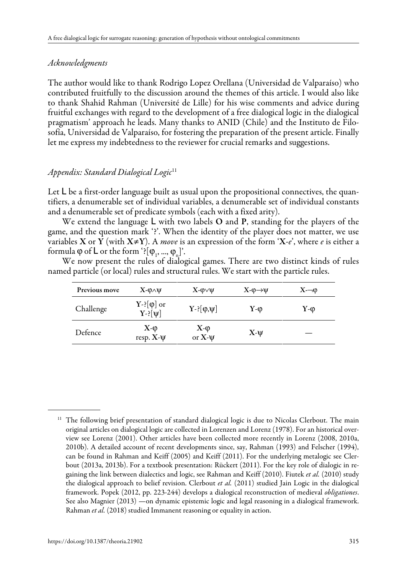### *Acknowledgments*

The author would like to thank Rodrigo Lopez Orellana (Universidad de Valparaíso) who contributed fruitfully to the discussion around the themes of this article. I would also like to thank Shahid Rahman (Université de Lille) for his wise comments and advice during fruitful exchanges with regard to the development of a free dialogical logic in the dialogical pragmatism' approach he leads. Many thanks to ANID (Chile) and the Instituto de Filosofía, Universidad de Valparaíso, for fostering the preparation of the present article. Finally let me express my indebtedness to the reviewer for crucial remarks and suggestions.

# *Appendix: Standard Dialogical Logic*<sup>11</sup>

Let  $\mathsf L$  be a first-order language built as usual upon the propositional connectives, the quantifiers, a denumerable set of individual variables, a denumerable set of individual constants and a denumerable set of predicate symbols (each with a fixed arity).

We extend the language  $L$  with two labels  $O$  and  $P$ , standing for the players of the game, and the question mark '?'. When the identity of the player does not matter, we use variables **X** or **Y** (with **X** $\neq$ **Y**). A *move* is an expression of the form **'X**-*e*', where *e* is either a formula φ of **L** or the form '?[φ<sub>1</sub>, ..., φ<sub>n</sub>]'.

We now present the rules of dialogical games. There are two distinct kinds of rules named particle (or local) rules and structural rules. We start with the particle rules.

| Previous move | $X-\varphi\wedge\psi$                 | $X$ - $\mathbb{Q}\vee\mathbb{V}$ | $X-\theta \rightarrow \Psi$ | $X\neg \varphi$ |
|---------------|---------------------------------------|----------------------------------|-----------------------------|-----------------|
| Challenge     | $Y$ -? $[\phi]$ or<br>$Y$ -? $[\psi]$ | $Y$ -? $[\varphi,\psi]$          | $Y-\omega$                  | $Y-\omega$      |
| Defence       | $X-\varphi$<br>resp. $X-\psi$         | $X-\varphi$<br>or $X - \Psi$     | $X-\Psi$                    | __              |

<sup>&</sup>lt;sup>11</sup> The following brief presentation of standard dialogical logic is due to Nicolas Clerbout. The main original articles on dialogical logic are collected in Lorenzen and Lorenz (1978). For an historical overview see Lorenz (2001). Other articles have been collected more recently in Lorenz (2008, 2010a, 2010b). A detailed account of recent developments since, say, Rahman (1993) and Felscher (1994), can be found in Rahman and Keiff (2005) and Keiff (2011). For the underlying metalogic see Clerbout (2013a, 2013b). For a textbook presentation: Rückert (2011). For the key role of dialogic in regaining the link between dialectics and logic, see Rahman and Keiff (2010). Fiutek *et al.* (2010) study the dialogical approach to belief revision. Clerbout *et al.* (2011) studied Jain Logic in the dialogical framework. Popek (2012, pp. 223-244) develops a dialogical reconstruction of medieval *obligationes*. See also Magnier (2013) —on dynamic epistemic logic and legal reasoning in a dialogical framework. Rahman *et al.* (2018) studied Immanent reasoning or equality in action.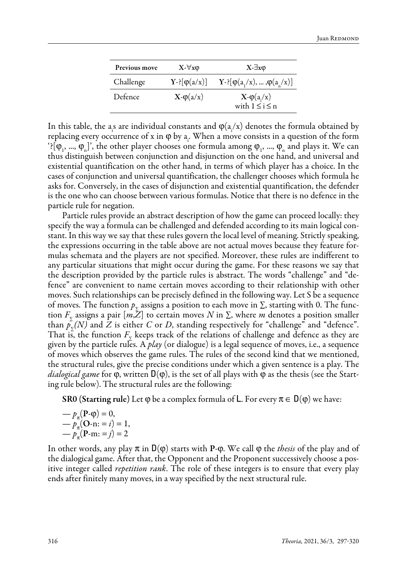| Previous move | $X - \forall x \varphi$    | $X - \exists x \varphi$                  |  |  |
|---------------|----------------------------|------------------------------------------|--|--|
| Challenge     | $Y=\left[\phi(a/x)\right]$ | $Y = [\phi(a_1/x), \dots, \phi(a_n/x)]$  |  |  |
| Defence       | $X-\varphi(a/x)$           | $X-\varphi(a/x)$<br>with $1 \le i \le n$ |  |  |

In this table, the a<sub>i</sub>s are individual constants and  $\varphi$ ( $a/$ x) denotes the formula obtained by replacing every occurrence of x in φ by a<sub>i</sub>. When a move consists in a question of the form  $[?[\varphi_1, ..., \varphi_n]$ , the other player chooses one formula among  $\varphi_1, ..., \varphi_n$  and plays it. We can thus distinguish between conjunction and disjunction on the one hand, and universal and existential quantification on the other hand, in terms of which player has a choice. In the cases of conjunction and universal quantification, the challenger chooses which formula he asks for. Conversely, in the cases of disjunction and existential quantification, the defender is the one who can choose between various formulas. Notice that there is no defence in the particle rule for negation.

Particle rules provide an abstract description of how the game can proceed locally: they specify the way a formula can be challenged and defended according to its main logical constant. In this way we say that these rules govern the local level of meaning. Strictly speaking, the expressions occurring in the table above are not actual moves because they feature formulas schemata and the players are not specified. Moreover, these rules are indifferent to any particular situations that might occur during the game. For these reasons we say that the description provided by the particle rules is abstract. The words "challenge" and "defence" are convenient to name certain moves according to their relationship with other moves. Such relationships can be precisely defined in the following way. Let S be a sequence of moves. The function  $p<sub>x</sub>$  assigns a position to each move in  $\Sigma$ , starting with 0. The function  $F<sub>z</sub>$  assigns a pair  $[m,\bar{Z}]$  to certain moves N in  $\Sigma$ , where m denotes a position smaller than  $\bar{p}_{\bar{y}}(N)$  and *Z* is either *C* or *D*, standing respectively for "challenge" and "defence". That is, the function  $F<sub>y</sub>$  keeps track of the relations of challenge and defence as they are given by the particle rules. A *play* (or dialogue) is a legal sequence of moves, i.e., a sequence of moves which observes the game rules. The rules of the second kind that we mentioned, the structural rules, give the precise conditions under which a given sentence is a play. The *dialogical game* for φ, written D(φ), is the set of all plays with φ as the thesis (see the Starting rule below). The structural rules are the following:

**SR0 (Starting rule)** Let  $\varphi$  be a complex formula of L. For every  $\pi \in D(\varphi)$  we have:

$$
-p_{\pi}(\mathbf{P}\cdot\mathbf{\varphi}) = 0,
$$
  

$$
-p_{\pi}(\mathbf{O}\cdot\mathbf{n}; = i) = 1,
$$
  

$$
-p_{\pi}(\mathbf{P}\cdot\mathbf{m}; = j) = 2
$$

In other words, any play  $\pi$  in  $D(\varphi)$  starts with P- $\varphi$ . We call  $\varphi$  the *thesis* of the play and of the dialogical game. After that, the Opponent and the Proponent successively choose a positive integer called *repetition rank*. The role of these integers is to ensure that every play ends after finitely many moves, in a way specified by the next structural rule.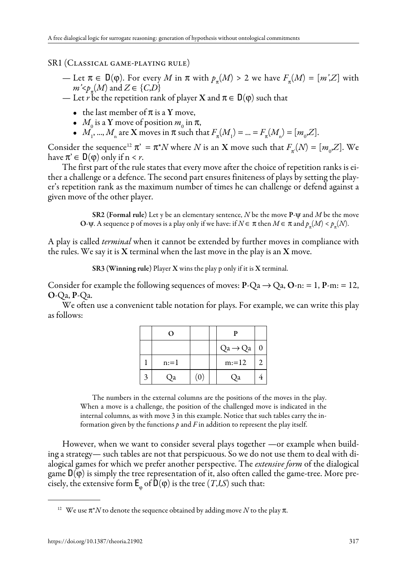#### SR1 (Classical game-playing rule)

- Let  $\pi \in D(\varphi)$ . For every *M* in  $\pi$  with  $p_{\pi}(M) > 2$  we have  $F_{\pi}(M) = [m', Z]$  with  $m \leq_{\mathcal{P}_{\pi}}(M)$  and  $Z \in \{C, D\}$
- Let *r* be the repetition rank of player **X** and  $\pi \in D(\varphi)$  such that
	- the last member of  $\pi$  is a Y move,
	- $M_0$  is a Y move of position  $m_0$  in π,
	- *M*<sub>1</sub>, ..., *M*<sub>n</sub> are **X** moves in π such that  $F_{\pi}(M_1) = ... = F_{\pi}(M_n) = [m_0, Z].$

Consider the sequence<sup>12</sup>  $\pi$ <sup>'</sup> =  $\pi$ <sup>\*</sup>*N* where *N* is an **X** move such that  $F_{\pi}$ <sup>'</sup>(*N*) =  $[m_0, Z]$ . We have  $\pi \in D(\varphi)$  only if  $n \leq r$ .

The first part of the rule states that every move after the choice of repetition ranks is either a challenge or a defence. The second part ensures finiteness of plays by setting the player's repetition rank as the maximum number of times he can challenge or defend against a given move of the other player.

> SR2 (Formal rule) Let y be an elementary sentence, *N* be the move P-ψ and *M* be the move O-ψ. A sequence p of moves is a play only if we have: if  $N \in \pi$  then  $M \in \pi$  and  $p_{\pi}(M) < p_{\pi}(N)$ .

A play is called *terminal* when it cannot be extended by further moves in compliance with the rules. We say it is  $X$  terminal when the last move in the play is an  $X$  move.

SR3 (Winning rule) Player X wins the play p only if it is X terminal.

Consider for example the following sequences of moves:  $P-Qa \rightarrow Qa$ ,  $Q-n$ : = 1,  $P-m$ : = 12, O-Qa, P-Qa.

We often use a convenient table notation for plays. For example, we can write this play as follows:

| $\Omega$ |     | D                   |  |
|----------|-----|---------------------|--|
|          |     | $Qa \rightarrow Qa$ |  |
| $n:=1$   |     | $m:=12$             |  |
| Оa       | (0) | Оa                  |  |

The numbers in the external columns are the positions of the moves in the play. When a move is a challenge, the position of the challenged move is indicated in the internal columns, as with move 3 in this example. Notice that such tables carry the information given by the functions *p* and *F* in addition to represent the play itself.

However, when we want to consider several plays together —or example when building a strategy— such tables are not that perspicuous. So we do not use them to deal with dialogical games for which we prefer another perspective. The *extensive form* of the dialogical game  $D(\varphi)$  is simply the tree representation of it, also often called the game-tree. More precisely, the extensive form  $\mathsf{E}_{\phi}$  of  $\mathsf{D}(\phi)$  is the tree  $(T, I, S)$  such that:

<sup>&</sup>lt;sup>12</sup> We use  $\pi^*N$  to denote the sequence obtained by adding move  $N$  to the play  $\pi$ .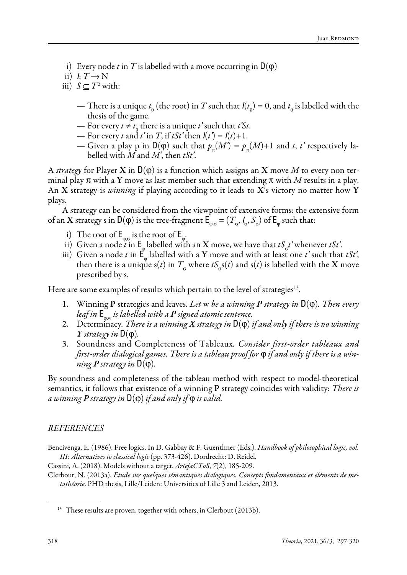- i) Every node *t* in *T* is labelled with a move occurring in  $D(\varphi)$
- ii)  $I: T \rightarrow N$
- iii)  $S ⊆ T<sup>2</sup>$  with:
	- There is a unique  $t_0$  (the root) in *T* such that  $I(t_0) = 0$ , and  $t_0$  is labelled with the thesis of the game.
	- For every  $t \neq t_0$  there is a unique  $t'$  such that  $t'St$ .
	- $\frac{1}{2}$  For every *t* and *t*' in *T*, if *tSt*' then  $I(t^2) = I(t) + 1$ .
	- Given a play p in  $D(\varphi)$  such that  $p_\pi(M) = p_\pi(M) + 1$  and *t*, *t*' respectively labelled with *M* and *M'*, then *tSt'*.

A *strategy* for Player **X** in  $D(\varphi)$  is a function which assigns an **X** move *M* to every non terminal play  $\pi$  with a Y move as last member such that extending  $\pi$  with M results in a play. An X strategy is *winning* if playing according to it leads to X's victory no matter how Y plays.

A strategy can be considered from the viewpoint of extensive forms: the extensive form of an **X** strategy s in **D**(φ) is the tree-fragment  $\mathsf{E}_{_{\varphi,\sigma}} = (T_{_{\sigma}}, I_{_{\sigma}}, S_{_{\sigma}})$  of  $\mathsf{E}_{_{\varphi}}$  such that:

- i) The root of  $E_{\varphi,\sigma}$  is the root of  $E_{\varphi}$ .
- ii) Given a node *t* in  $E_{\varphi}$  labelled with an **X** move, we have that  $tS_{\sigma}t'$  whenever  $tSt'$ .
- iii) Given a node *t* in  $\mathbf{E}_{\phi}$  labelled with a Y move and with at least one *t*' such that *tSt*', then there is a unique  $s(t)$  in  $T_{\sigma}$  where  $tS_{\sigma}s(t)$  and  $s(t)$  is labelled with the X move prescribed by s.

Here are some examples of results which pertain to the level of strategies<sup>13</sup>.

- 1. Winning P strategies and leaves. *Let* w *be a winning P strategy in* D(φ)*. Then every leaf in* E <sup>φ</sup>,w *is labelled with a P signed atomic sentence.*
- 2. Determinacy*. There is a winning X strategy in* D(φ) *if and only if there is no winning Y* strategy in  $D(\varphi)$ .
- 3. Soundness and Completeness of Tableaux*. Consider first-order tableaux and first-order dialogical games. There is a tableau proof for* φ *if and only if there is a winning*  $P$  *strategy in*  $D(\varphi)$ *.*

By soundness and completeness of the tableau method with respect to model-theoretical semantics, it follows that existence of a winning P strategy coincides with validity: *There is a winning P strategy in* D(φ) *if and only if* φ *is valid.*

#### *REFERENCES*

Bencivenga, E. (1986). Free logics. In D. Gabbay & F. Guenthner (Eds.). *Handbook of philosophical logic, vol. III: Alternatives to classical logic* (pp. 373-426). Dordrecht: D. Reidel.

Cassini, A. (2018). Models without a target. *ArtefaCToS*, *7*(2), 185-209.

Clerbout, N. (2013a). *Etude sur quelques sémantiques dialogiques. Concepts fondamentaux et éléments de metathéorie*. PHD thesis, Lille/Leiden: Universities of Lille 3 and Leiden, 2013.

<sup>&</sup>lt;sup>13</sup> These results are proven, together with others, in Clerbout (2013b).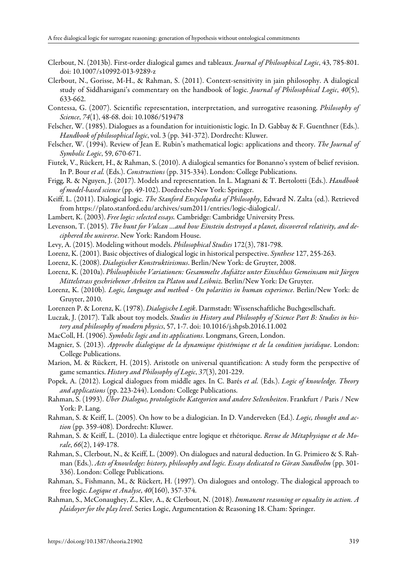- Clerbout, N. (2013b). First-order dialogical games and tableaux. *Journal of Philosophical Logic*, 43, 785-801. doi: 10.1007/s10992-013-9289-z
- Clerbout, N., Gorisse, M-H., & Rahman, S. (2011). Context-sensitivity in jain philosophy. A dialogical study of Siddharsigani's commentary on the handbook of logic. *Journal of Philosophical Logic*, *40*(5), 633-662.
- Contessa, G. (2007). Scientific representation, interpretation, and surrogative reasoning. *Philosophy of Science*, *74*(1), 48-68. doi: 10.1086/519478
- Felscher, W. (1985). Dialogues as a foundation for intuitionistic logic. In D. Gabbay & F. Guenthner (Eds.). *Handbook of philosophical logic*, vol. 3 (pp. 341-372). Dordrecht: Kluwer.
- Felscher, W. (1994). Review of Jean E. Rubin's mathematical logic: applications and theory. *The Journal of Symbolic Logic*, 59, 670-671.
- Fiutek, V., Rückert, H., & Rahman, S. (2010). A dialogical semantics for Bonanno's system of belief revision. In P. Bour *et al.* (Eds.). *Constructions* (pp. 315-334). London: College Publications.
- Frigg, R. & Nguyen, J. (2017). Models and representation. In L. Magnani & T. Bertolotti (Eds.). *Handbook of model-based science* (pp. 49-102). Dordrecht-New York: Springer.
- Keiff, L. (2011). Dialogical logic. *The Stanford Encyclopedia of Philosophy*, Edward N. Zalta (ed.). Retrieved from https://plato.stanford.edu/archives/sum2011/entries/logic-dialogical/.
- Lambert, K. (2003). *Free logic: selected essays.* Cambridge: Cambridge University Press.
- Levenson, T. (2015). *The hunt for Vulcan …and how Einstein destroyed a planet, discovered relativity, and deciphered the universe*. New York: Random House.
- Levy, A. (2015). Modeling without models. *Philosophical Studies* 172(3), 781-798.
- Lorenz, K. (2001). Basic objectives of dialogical logic in historical perspective. *Synthese* 127, 255-263.
- Lorenz, K. (2008). *Dialogischer Konstruktivismus*. Berlin/New York: de Gruyter, 2008.
- Lorenz, K. (2010a). *Philosophische Variationen: Gesammelte Aufsätze unter Einschluss Gemeinsam mit Jürgen Mittelstrass geschriebener Arbeiten zu Platon und Leibniz.* Berlin/New York: De Gruyter.
- Lorenz, K. (2010b)*. Logic, language and method On polarities in human experience*. Berlin/New York: de Gruyter, 2010.
- Lorenzen P. & Lorenz, K. (1978). *Dialogische Logik*. Darmstadt: Wissenschaftliche Buchgesellschaft.
- Luczak, J. (2017). Talk about toy models. *Studies in History and Philosophy of Science Part B: Studies in history and philosophy of modern physics*, 57, 1-7. doi: 10.1016/j.shpsb.2016.11.002
- MacColl, H. (1906). *Symbolic logic and its applications*. Longmans, Green, London.
- Magnier, S. (2013). *Approche dialogique de la dynamique épistémique et de la condition juridique*. London: College Publications.
- Marion, M. & Rückert, H. (2015). Aristotle on universal quantification: A study form the perspective of game semantics. *History and Philosophy of Logic*, *37*(3), 201-229.
- Popek, A. (2012). Logical dialogues from middle ages. In C. Barés *et al.* (Eds.). *Logic of knowledge. Theory and applications* (pp. 223-244). London: College Publications.
- Rahman, S. (1993). *Über Dialogue, protologische Kategorien und andere Seltenheiten*. Frankfurt / Paris / New York: P. Lang.
- Rahman, S. & Keiff, L. (2005). On how to be a dialogician. In D. Vanderveken (Ed.). *Logic, thought and action* (pp. 359-408)*.* Dordrecht: Kluwer.
- Rahman, S. & Keiff, L. (2010). La dialectique entre logique et rhétorique. *Revue de Métaphysique et de Morale*, *66*(2), 149-178.
- Rahman, S., Clerbout, N., & Keiff, L. (2009). On dialogues and natural deduction. In G. Primiero & S. Rahman (Eds.). *Acts of knowledge: history, philosophy and logic. Essays dedicated to Göran Sundholm* (pp. 301- 336). London: College Publications.
- Rahman, S., Fishmann, M., & Rückert, H. (1997). On dialogues and ontology. The dialogical approach to free logic. *Logique et Analyse*, *40*(160), 357-374.
- Rahman, S., McConaughey, Z., Klev, A., & Clerbout, N. (2018). *Immanent reasoning or equality in action. A plaidoyer for the play level*. Series Logic, Argumentation & Reasoning 18. Cham: Springer.